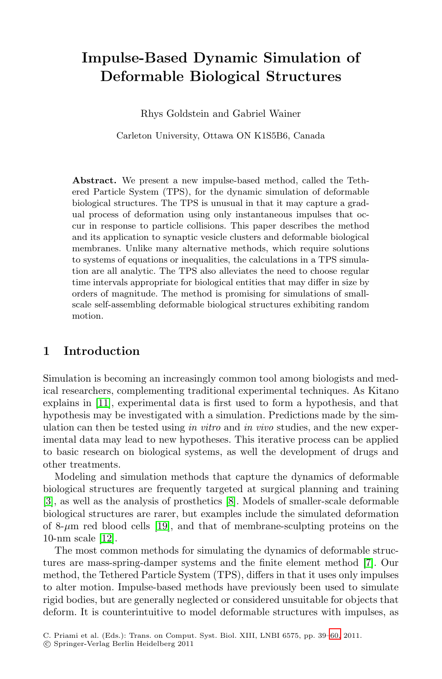# **Impulse-Based Dynamic Simulation of Deformable Biological Structures**

Rhys Goldstein and Gabriel Wainer

Carleton University, Ottawa ON K1S5B6, Canada

**Abstract.** We present a new impulse-based method, called the Tethered Particle System (TPS), for the dynamic simulation of deformable biological structures. The TPS is unusual in that it may capture a gradual process of deformation using only instantaneous impulses that occur in response to particle collisions. This paper describes the method and its application to synaptic vesicle clusters and deformable biological membranes. Unlike many alternative methods, which require solutions to systems of equations or inequalities, the calculations in a TPS simulation are all analytic. The TPS also alleviates the need to choose regular time intervals appropriate for biological entities that may differ in size by orders of magnitude. The method is promising for simulations of smallscale self-assembling deformable biological structures exhibiting random motion.

## **1 Introduction**

Simulation is becoming an increasingly common tool among biologists and medical researchers, complementing traditional experimental techniques. As Kitano explains in [11], exper[im](#page-21-0)ental data is first used to form a hypothesis, and that hypothesis may be investigated with a simulation. Predictions made by the simulatio[n ca](#page-21-1)n then be tested using *in vitro* and *in vivo* studies, and the new experimental data may lead to new hypotheses. This iterative process can be applied to basic research on biological systems, as well the development of drugs and other treatments.

Modeling and simulation methods that capture t[he](#page-21-2) dynamics of deformable biological structures are frequently targeted at surgical planning and training [3], as well as the analysis of prosthetics [8]. Models of smaller-scale deformable biological structures are rarer, but examples include the simulated deformation of 8- $\mu$ m red blood cells [19], and that of membrane-sculpting proteins on the 10-nm scale [12].

The most common methods for simulating the dynamics of deformable structures are mass-spring-damper systems and the finite element method [7]. Our method, the Tethered Particle System (TPS), differs in that it uses only impulses to alter motion. Impulse-based methods have previously been used to simulate rigid bodies, but are generally neglected or considered unsuitable for objects that deform. It is counterintuitive to model deformable structures with impulses, as

C. Priami et al. (Eds.): Trans. on Comput. Syst. Biol. XIII, LNBI 6575, pp. 39–60, 2011.

<sup>-</sup>c Springer-Verlag Berlin Heidelberg 2011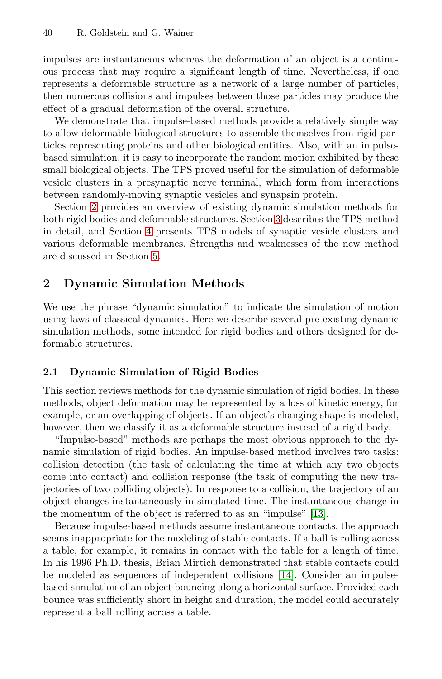impulses are instantaneous whereas the deformation of an object is a continuous process that may require a significant length of time. Nevertheless, if one represents a deformable structure as a network of a large number of particles, then numerous collisions and impulses between those particles may produce the effect of a gradual deformation of the overall structure.

We demonstrate that impulse[-ba](#page-4-0)sed methods provide a relatively simple way to [allo](#page-12-0)w deformable biological structures to assemble themselves from rigid particles representing proteins and other biological entities. Also, with an impulsebase[d s](#page-19-0)imulation, it is easy to incorporate the random motion exhibited by these small biological objects. The TPS proved useful for the simulation of deformable vesicle clusters in a presynaptic nerve terminal, which form from interactions between randomly-moving synaptic vesicles and synapsin protein.

Section 2 provides an overview of existing dynamic simulation methods for both rigid bodies and deformable structures. Section 3 describes the TPS method in detail, and Section 4 presents TPS models of synaptic vesicle clusters and various deformable membranes. Strengths and weaknesses of the new method are discussed in Section 5.

## <span id="page-1-0"></span>**2 Dynamic Simulation Methods**

We use the phrase "dynamic simulation" to indicate the simulation of motion using laws of classical dynamics. Here we describe several pre-existing dynamic simulation methods, some intended for rigid bodies and others designed for deformable structures.

### **2.1 Dynamic Simulation of Rigid Bodies**

This section reviews methods for the dynamic simulation of rigid bodies. In these methods, object deformation may be represented by a loss of kinetic energy, for example, or an overlapping of objects. If [an](#page-21-3) object's changing shape is modeled, however, then we classify it as a deformable structure instead of a rigid body.

"Impulse-based" methods are perhaps the most obvious approach to the dynamic simulation of rigid bodies. An impulse-based method involves two tasks: collision detection (the task of calculating the time at which any two objects come into contact) and collision [resp](#page-21-4)onse (the task of computing the new trajectories of two colliding objects). In response to a collision, the trajectory of an object changes instantaneously in simulated time. The instantaneous change in the momentum of the object is referred to as an "impulse" [13].

Because impulse-based methods assume instantaneous contacts, the approach seems inappropriate for the modeling of stable contacts. If a ball is rolling across a table, for example, it remains in contact with the table for a length of time. In his 1996 Ph.D. thesis, Brian Mirtich demonstrated that stable contacts could be modeled as sequences of independent collisions [14]. Consider an impulsebased simulation of an object bouncing along a horizontal surface. Provided each bounce was sufficiently short in height and duration, the model could accurately represent a ball rolling across a table.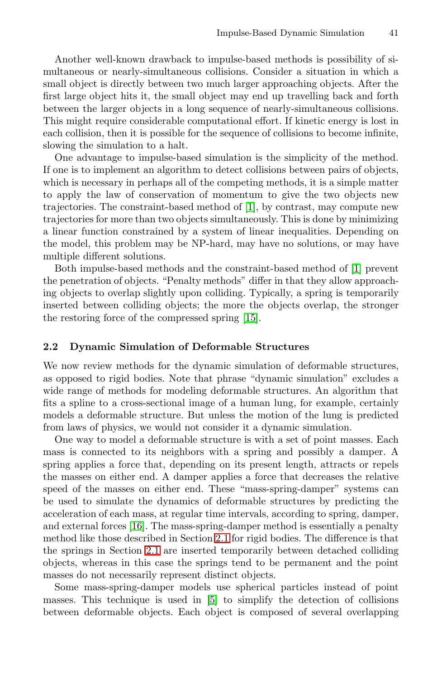Another well-known drawback to impulse-based methods is possibility of simultaneous or nearly-simultaneous collisions. Consider a situation in which a small object is directly between two much larger approaching objects. After the first large object hits it, the small object may end up travelling back and forth between the larger objects [in](#page-20-0) a long sequence of nearly-simultaneous collisions. This might require considerable computational effort. If kinetic energy is lost in each collision, then it is possible for the sequence of collisions to become infinite, slowing the simulation to a halt.

One advantage to impulse-based simulation is the simplicity of the method. If one is to implement an algorithm to detect colli[sio](#page-20-0)ns between pairs of objects, which is necessary in perhaps all of the competing methods, it is a simple matter to apply the law of conservation of momentum to give the two objects new trajectories. The constraint-based method of [1], by contrast, may compute new trajectories for more than [two](#page-21-5) objects simultaneously. This is done by minimizing a linear function constrained by a system of linear inequalities. Depending on the model, this problem may be NP-hard, may have no solutions, or may have multiple different solutions.

<span id="page-2-0"></span>Both impulse-based methods and the constraint-based method of [1] prevent the penetration of objects. "Penalty methods" differ in that they allow approaching objects to overlap slightly upon colliding. Typically, a spring is temporarily inserted between colliding objects; the more the objects overlap, the stronger the restoring force of the compressed spring [15].

#### **2.2 Dynamic Simulation of Deformable Structures**

We now review methods for the dynamic simulation of deformable structures, as opposed to rigid bodies. Note that phrase "dynamic simulation" excludes a wide range of methods for modeling deformable structures. An algorithm that fits a spline to a cross-sectional image of a human lung, for example, certainly models a deformable structure. But unless the motion of the lung is predicted [from](#page-21-6) laws of physics, we would not consider it a dynamic simulation.

One way to mod[el a](#page-1-0) deformable structure is with a set of point masses. Each ma[ss is](#page-1-0) connected to its neighbors with a spring and possibly a damper. A spring applies a force that, depending on its present length, attracts or repels the masses on either end. A damper applies a force that decreases the relative speed of the masses on either end. These "mass-spring-damper" systems can be used to simul[ate](#page-20-1) the dynamics of deformable structures by predicting the acceleration of each mass, at regular time intervals, according to spring, damper, and external forces [16]. The mass-spring-damper method is essentially a penalty method like those described in Section 2.1 for rigid bodies. The difference is that the springs in Section 2.1 are inserted temporarily between detached colliding objects, whereas in this case the springs tend to be permanent and the point masses do not necessarily represent distinct objects.

Some mass-spring-damper models use spherical particles instead of point masses. This technique is used in [5] to simplify the detection of collisions between deformable objects. Each object is composed of several overlapping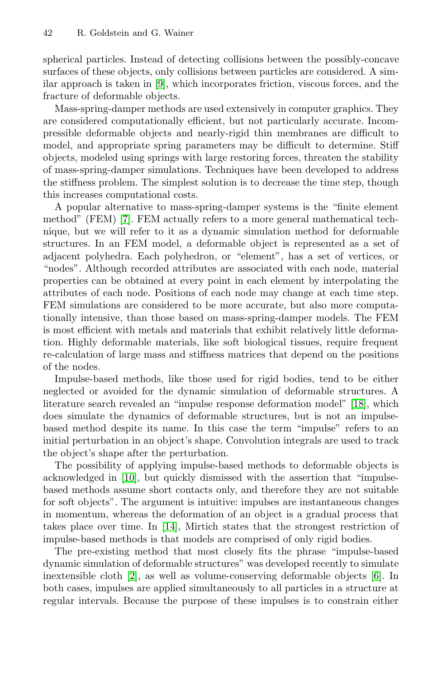spherical particles. Instead of detecting collisions between the possibly-concave surfaces of these objects, only collisions between particles are considered. A similar approach is taken in [9], which incorporates friction, viscous forces, and the fracture of deformable objects.

Mass-spring-damper methods are used extensively in computer graphics. They [a](#page-21-2)re considered computationally efficient, but not particularly accurate. Incompressible deformable objects and nearly-rigid thin membranes are difficult to model, and appropriate spring parameters may be difficult to determine. Stiff objects, modeled using springs with large restoring forces, threaten the stability of mass-spring-damper simulations. Techniques have been developed to address the stiffness problem. The simplest solution is to decrease the time step, though this increases computational costs.

A popular alternative to mass-spring-damper systems is the "finite element method" (FEM) [7]. FEM actually refers to a more general mathematical technique, but we will refer to it as a dynamic simulation method for deformable structures. In an FEM model, a deformable object is represented as a set of adjacent polyhedra. Each polyhedron, or "element", has a set of vertices, or "nodes". Although recorded attributes are associated with each node, material properties can be obtained at every point in each element by interpolating the attributes of each node. Positions of each node may change at each time step. FEM simulations are considered to be more accu[rate](#page-21-7), but also more computationally intensive, than those based on mass-spring-damper models. The FEM is most efficient with metals and materials that exhibit relatively little deformation. Highly deformable materials, like soft biological tissues, require frequent re-calculation of large mass and stiffness matrices that depend on the positions of the nodes.

Impulse-based methods, like those used for rigid bodies, tend to be either [ne](#page-21-8)glected or avoided for the dynamic simulation of deformable structures. A literature search revealed an "impulse response deformation model" [18], which does simulate the dynamics of deformable structures, but is not an impulsebased [meth](#page-21-4)od despite its name. In this case the term "impulse" refers to an initial perturbation in an object's shape. Convolution integrals are used to track the object's shape after the perturbation.

The possibility of applying impulse-based methods to deformable objects is [ac](#page-20-2)knowledged in [10], but quickly dismissed with the [as](#page-21-9)sertion that "impulsebased methods assume short contacts only, and therefore they are not suitable for soft objects". The argument is intuitive: impulses are instantaneous changes in momentum, whereas the deformation of an object is a gradual process that takes place over time. In [14], Mirtich states that the strongest restriction of impulse-based methods is that models are comprised of only rigid bodies.

The pre-existing method that most closely fits the phrase "impulse-based dynamic simulation of deformable structures" was developed recently to simulate inextensible cloth [2], as well as volume-conserving deformable objects [6]. In both cases, impulses are applied simultaneously to all particles in a structure at regular intervals. Because the purpose of these impulses is to constrain either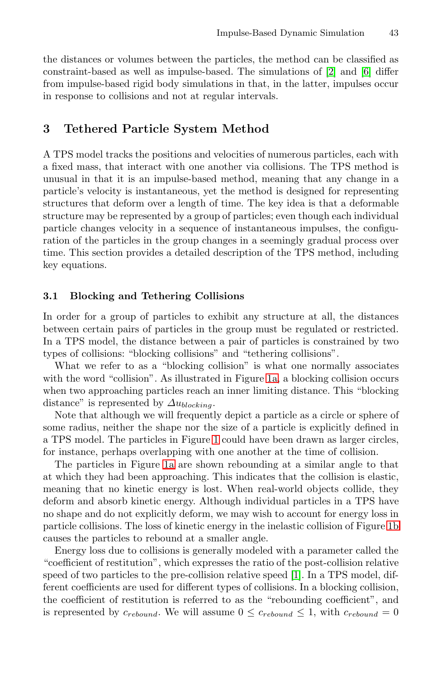<span id="page-4-0"></span>the distances or volumes between the particles, the method can be classified as constraint-based as well as impulse-based. The simulations of [2] and [6] differ from impulse-based rigid body simulations in that, in the latter, impulses occur in response to collisions and not at regular intervals.

## **3 Tethered Particle System Method**

<span id="page-4-1"></span>A TPS model tracks the positions and velocities of numerous particles, each with a fixed mass, that interact with one another via collisions. The TPS method is unusual in that it is an impulse-based method, meaning that any change in a particle's velocity is instantaneous, yet the method is designed for representing structures that deform over a length of time. The key idea is that a deformable structure may be represented by a group of particles; even though each individual particle changes velocity in a sequence of instantaneous impulses, the configuration of the particles in the group changes in a seemingly gradual process over time. This section provides a detailed description of the TPS method, including key equations.

## **3.1 Blocking and Tethering Collisions**

In order for a group of particles to exhibit any structure at all, the distances between certain pairs of particles in the group must be regulated or restricted. In a TPS model, t[he](#page-5-0) distance between a pair of particles is constrained by two types of collisions: "blocking collisions" and "tethering collisions".

Wha[t w](#page-5-1)e refer to as a "blocking collision" is what one normally associates with the word "collision". As illustrated in Figure 1a, a blocking collision occurs when two approaching particles reach an inner limiting distance. This "blocking distance" is represented by  $\Delta u_{blocking}$ .

Note that although we will frequently depict a particle as a circle or sphere of some radius, neither the shape nor the size of a particle [is ex](#page-5-2)plicitly defined in a TPS model. The particles in Figure 1 could have been drawn as larger circles, for instance, perhaps overlapping with one another at the time of collision.

The particles in Figure 1a are shown rebounding at a similar angle to that at which they had been approaching[. T](#page-20-0)his indicates that the collision is elastic, meaning that no kinetic energy is lost. When real-world objects collide, they deform and absorb kinetic energy. Although individual particles in a TPS have no shape and do not explicitly deform, we may wish to account for energy loss in particle collisions. The loss of kinetic energy in the inelastic collision of Figure 1b causes the particles to rebound at a smaller angle.

Energy loss due to collisions is generally modeled with a parameter called the "coefficient of restitution", which expresses the ratio of the post-collision relative speed of two particles to the pre-collision relative speed [1]. In a TPS model, different coefficients are used for different types of collisions. In a blocking collision, the coefficient of restitution is referred to as the "rebounding coefficient", and is represented by  $c_{rebound}$ . We will assume  $0 \leq c_{rebound} \leq 1$ , with  $c_{rebound} = 0$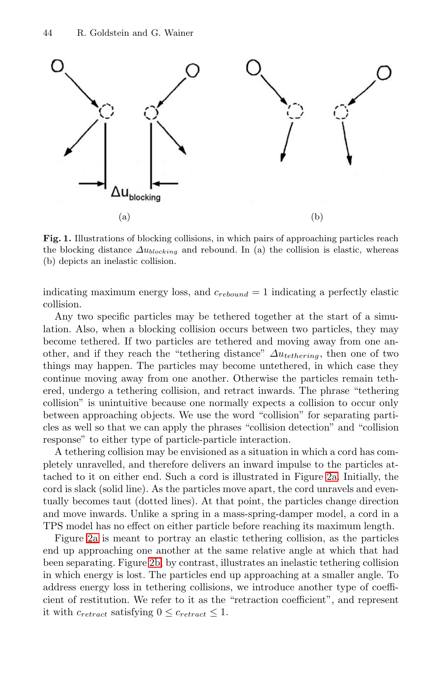<span id="page-5-2"></span><span id="page-5-1"></span><span id="page-5-0"></span>

**Fig. 1.** Illustrations of blocking collisions, in which pairs of approaching particles reach the blocking distance  $\Delta u_{blocking}$  and rebound. In (a) the collision is elastic, whereas (b) depicts an inelastic collision.

indicating maximum energy loss, and  $c_{rebound} = 1$  indicating a perfectly elastic collision.

Any two specific particles may be tethered together at the start of a simulation. Also, when a blocking collision occurs between two particles, they may become tethered. If two particles are tethered and moving away from one another, and if they reach the "tethering distance"  $\Delta u_{tethering}$ , then one of two things may happen. The particles may become untethered, in which case they continue moving away from one another. O[the](#page-6-0)rwise the particles remain tethered, undergo a tethering collision, and retract inwards. The phrase "tethering collision" is unintuitive because one normally expects a collision to occur only between approaching objects. We use the word "collision" for separating particles as well so that we can apply the phrases "collision detection" and "collision response" to either type of particle-particle interaction.

A tethering collision may be envisioned as a situation in which a cord has complet[ely u](#page-6-1)nravelled, and therefore delivers an inward impulse to the particles attached to it on either end. Such a cord is illustrated in Figure 2a. Initially, the cord is slack (solid line). As the particles move apart, the cord unravels and eventually becomes taut (dotted lines). At that point, the particles change direction and move inwards. Unlike a spring in a mass-spring-damper model, a cord in a TPS model has no effect on either particle before reaching its maximum length.

Figure 2a is meant to portray an elastic tethering collision, as the particles end up approaching one another at the same relative angle at which that had been separating. Figure 2b, by contrast, illustrates an inelastic tethering collision in which energy is lost. The particles end up approaching at a smaller angle. To address energy loss in tethering collisions, we introduce another type of coefficient of restitution. We refer to it as the "retraction coefficient", and represent it with  $c_{retract}$  satisfying  $0 \leq c_{retract} \leq 1$ .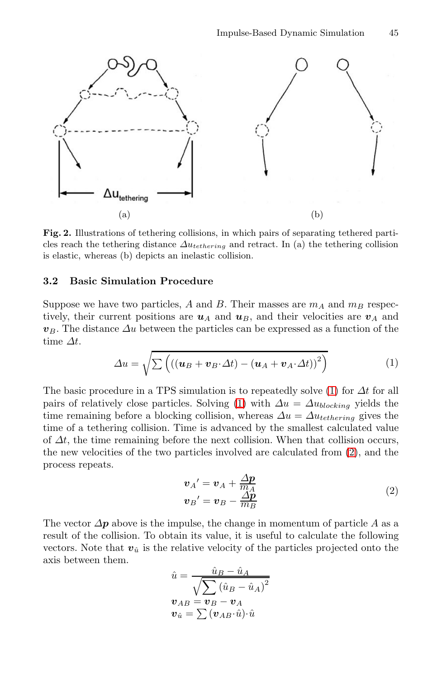<span id="page-6-1"></span><span id="page-6-0"></span>

**Fig. 2.** Illustrations of tethering collisions, in which pairs of separating tethered particles reach the tethering distance  $\Delta u_{tethering}$  and retract. In (a) the tethering collision is elastic, whereas (b) depicts an inelastic collision.

## <span id="page-6-2"></span>**3.2 Basic Simulation Procedure**

Suppose we have two p[art](#page-6-2)icles, A and B. T[heir](#page-6-2) masses are  $m_A$  and  $m_B$  respectively, their current positions are  $u_A$  and  $u_B$ , and their velocities are  $v_A$  and  $v_B$ . The distance  $\Delta u$  between the particles can be expressed as a function of the time  $\Delta t$ .

$$
\Delta u = \sqrt{\sum \left( \left( (\boldsymbol{u}_B + \boldsymbol{v}_B \cdot \Delta t) - (\boldsymbol{u}_A + \boldsymbol{v}_A \cdot \Delta t) \right)^2 \right)}
$$
(1)

The basic procedure in a TPS simulation is to repeatedly solve (1) for  $\Delta t$  for all pairs of relatively close particles. Solving (1) with  $\Delta u = \Delta u_{blocking}$  yields the time remaining before a blocking collision, whereas  $\Delta u = \Delta u_{tethering}$  gives the time of a tethering collision. Time is advanced by the smallest calculated value of  $\Delta t$ , the time remaining before the next collision. When that collision occurs, the new velocities of the two particles involved are calculated from (2), and the process repeats.

$$
\boldsymbol{v}_A' = \boldsymbol{v}_A + \frac{\Delta p}{m_A} \n\boldsymbol{v}_B' = \boldsymbol{v}_B - \frac{\Delta p}{m_B}
$$
\n(2)

The vector  $\Delta p$  above is the impulse, the change in momentum of particle A as a result of the collision. To obtain its value, it is useful to calculate the following vectors. Note that  $v_{\hat{u}}$  is the relative velocity of the particles projected onto the axis between them.

$$
\hat{u} = \frac{\hat{u}_B - \hat{u}_A}{\sqrt{\sum_{AB} (\hat{u}_B - \hat{u}_A)^2}}
$$

$$
\boldsymbol{v}_{AB} = \boldsymbol{v}_B - \boldsymbol{v}_A
$$

$$
\boldsymbol{v}_{\hat{u}} = \sum (\boldsymbol{v}_{AB} \cdot \hat{u}) \cdot \hat{u}
$$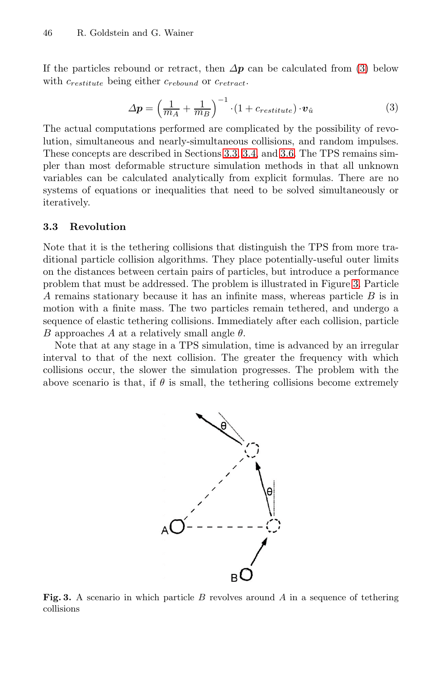If the particles rebound or retract, then  $\Delta p$  can be calculated from (3) below with  $c_{\text{restrictive}}$  being either  $c_{\text{rebound}}$  or  $c_{\text{retract}}$ .

$$
\Delta p = \left(\frac{1}{m_A} + \frac{1}{m_B}\right)^{-1} \cdot \left(1 + c_{restrictive}\right) \cdot v_{\hat{u}} \tag{3}
$$

The actual computations performed are complicated by the possibility of revolution, simultaneous and nearly-simultaneous collisions, and random impulses. These concepts are described in Sections 3.3, 3.4, and 3.6. The TPS remains simpler than most deformable structure simulation methods in that all unknown variables can be calculated analytically from explicit formulas. There are no systems of equations or inequalities that need t[o b](#page-7-0)e solved simultaneously or iteratively.

## **3.3 Revolution**

Note that it is the tethering collisions that distinguish the TPS from more traditional particle collision algorithms. They place potentially-useful outer limits on the distances between certain pairs of particles, but introduce a performance problem that must be addressed. The problem is illustrated in Figure 3. Particle A remains stationary because it has an infinite mass, whereas particle B is in motion with a finite mass. The two particles remain tethered, and undergo a sequence of elastic tethering collisions. Immediately after each collision, particle B approaches A at a relatively small angle  $\theta$ .

<span id="page-7-0"></span>Note that at any stage in a TPS simulation, time is advanced by an irregular interval to that of the next collision. The greater the frequency with which collisions occur, the slower the simulation progresses. The problem with the above scenario is that, if  $\theta$  is small, the tethering collisions become extremely



Fig. 3. A scenario in which particle B revolves around A in a sequence of tethering collisions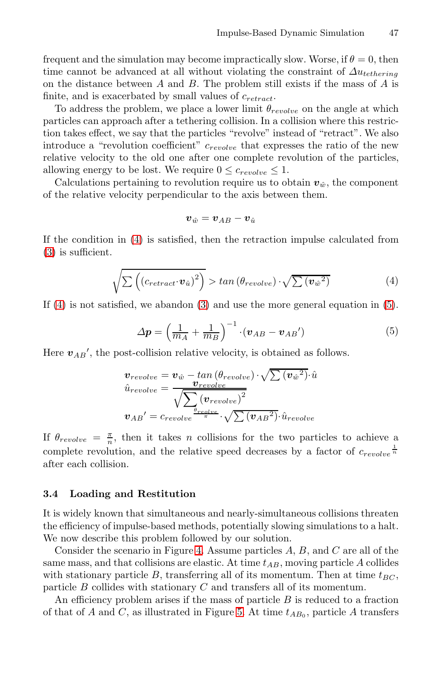frequent and the simulation may become impractically slow. Worse, if  $\theta = 0$ , then time cannot be advanced at all without violating the constraint of  $\Delta u_{tetherina}$ on the distance between  $A$  and  $B$ . The problem still exists if the mass of  $A$  is finite, and is exacerbated by small values of  $c_{retract}$ .

To address the problem, we place a lower limit  $\theta_{revolve}$  on the angle at which particles can approach after a tethering collision. In a collision where this restriction takes effect, we say that the particles "revolve" instead of "retract". We also i[nt](#page-8-0)roduce a "revolution coefficient"  $c_{revolve}$  that expresses the ratio of the new relative velocity to the old one after one complete revolution of the particles, allowing energy to be lost. We require  $0 \leq c_{revolve} \leq 1$ .

<span id="page-8-0"></span>Calculations pertaining to revolution require us to obtain  $v_{\hat{w}}$ , the component of the relative velocity perpendicular to the axis between them.

$$
\boldsymbol{v}_{\hat{w}} = \boldsymbol{v}_{AB} - \boldsymbol{v}_{\hat{u}}
$$

If the condition in (4) is satisfied, then the retraction impulse calculated from (3) is sufficient.

$$
\sqrt{\sum ((c_{retract} \cdot \boldsymbol{v}_{\hat{u}})^2)} > \tan (\theta_{revolve}) \cdot \sqrt{\sum (\boldsymbol{v}_{\hat{w}}^2)}
$$
(4)

If (4) is not satisfied, we abandon (3) and use the more general equation in (5).

$$
\Delta p = \left(\frac{1}{m_A} + \frac{1}{m_B}\right)^{-1} \cdot \left(v_{AB} - v_{AB}'\right) \tag{5}
$$

<span id="page-8-1"></span>Here  $v_{AB}'$ , the post-collision relative velocity, is obtained as follows.

$$
\begin{aligned}\n\boldsymbol{v}_{revolve} &= \boldsymbol{v}_{\hat{w}} - \tan\left(\theta_{revolve}\right) \cdot \sqrt{\sum} \left(\boldsymbol{v}_{\hat{w}}^2\right) \cdot \hat{u} \\
\hat{u}_{revolve} &= \frac{\boldsymbol{v}_{revolve}}{\sqrt{\sum_{\substack{\sigma_{revolve}}}} \left(\boldsymbol{v}_{revolve}\right)^2}} \\
\boldsymbol{v}_{AB}' &= c_{revolve} \frac{\theta_{revolve}}{\pi} \cdot \sqrt{\sum} \left(\boldsymbol{v}_{AB}^2\right) \cdot \hat{u}_{revolve}\n\end{aligned}
$$

If  $\theta_{revolve} = \frac{\pi}{n}$ , then it takes *n* collisions for the two particles to achieve a<br>complete prophetics and the politics graved decreases have factor of a complete revol[ut](#page-9-0)ion, and the relative speed decreases by a factor of  $c_{revolve}^{\frac{1}{n}}$ <br>after each collision after each collision.

#### **3.4 Loading and Restitution**

It is widely known that s[im](#page-9-1)ultaneous and nearly-simultaneous collisions threaten the efficiency of impulse-based methods, potentially slowing simulations to a halt. We now describe this problem followed by our solution.

Consider the scenario in Figure 4. Assume particles A, B, and C are all of the same mass, and that collisions are elastic. At time  $t_{AB}$ , moving particle A collides with stationary particle B, transferring all of its momentum. Then at time  $t_{BC}$ , particle B collides with stationary C and transfers all of its momentum.

An efficiency problem arises if the mass of particle  $B$  is reduced to a fraction of that of A and C, as illustrated in Figure 5. At time  $t_{AB_0}$ , particle A transfers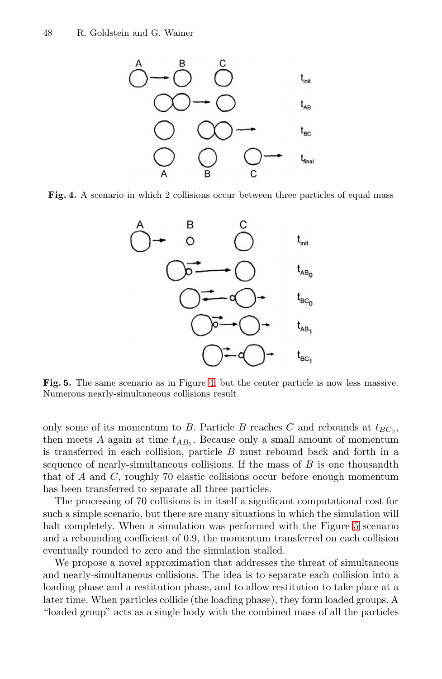<span id="page-9-0"></span>

<span id="page-9-1"></span>**Fig. 4.** A scenario in which 2 collisions occur between three particles of equal mass



**Fig. 5.** The same scenario as in Figure 4, but the center particle is now less massive. Numerous nearly-simultaneous collisions result.

only some of its momentum to B. Particle B rea[che](#page-9-1)s C and rebounds at  $t_{BC_0}$ , then meets  $A$  again at time  $t_{AB_1}$ . Because only a small amount of momentum is transferred in each collision, particle B must rebound back and forth in a sequence of nearly-simultaneous collisions. If the mass of  $B$  is one thousandth that of A and C, roughly 70 elastic collisions occur before enough momentum has been transferred to separate all three particles.

The processing of 70 collisions is in itself a significant computational cost for such a simple scenario, but there are many situations in which the simulation will halt completely. When a simulation was performed with the Figure 5 scenario and a rebounding coefficient of 0.9, the momentum transferred on each collision eventually rounded to zero and the simulation stalled.

We propose a novel approximation that addresses the threat of simultaneous and nearly-simultaneous collisions. The idea is to separate each collision into a loading phase and a restitution phase, and to allow restitution to take place at a later time. When particles collide (the loading phase), they form loaded groups. A "loaded group" acts as a single body with the combined mass of all the particles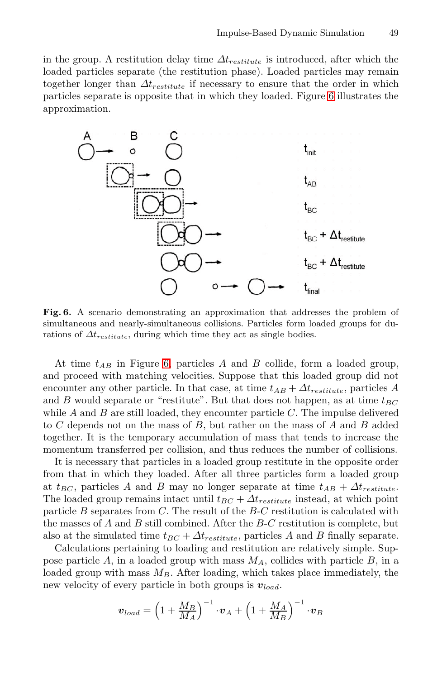in the group. A restitution delay time  $\Delta t_{restrictive}$  is introduced, after which the loaded particles separate (the restitution phase). Loaded particles may remain together longer than  $\Delta t_{restrictive}$  if necessary to ensure that the order in which particles separate is opposite that in which they loaded. Figure 6 illustrates the approximation.



**Fig. 6.** A scenario demonstrating an approximation that addresses the problem of simultaneous and nearly-simultaneous collisions. Particles form loaded groups for durations of Δt*restitute*, during which time they act as single bodies.

At time  $t_{AB}$  in Figure 6, particles A and B collide, form a loaded group, and proceed with matching velocities. Suppose that this loaded group did not encounter any other particle. In that case, at time  $t_{AB} + \Delta t_{restrictive}$ , particles A and B would separate or "restitute". But that does not happen, as at time  $t_{BC}$ while  $A$  and  $B$  are still loaded, they encounter particle  $C$ . The impulse delivered to C depends not on the mass of B, but rather on the mass of A and B added together. It is the temporary accumulation of mass that tends to increase the momentum transferred per collision, and thus reduces the number of collisions.

It is necessary that particles in a loaded group restitute in the opposite order from that in which they loaded. After all three particles form a loaded group at  $t_{BC}$ , particles A and B may no longer separate at time  $t_{AB} + \Delta t_{restrictive}$ . The loaded group remains intact until  $t_{BC} + \Delta t_{restrictive}$  instead, at which point particle  $B$  separates from  $C$ . The result of the  $B-C$  restitution is calculated with the masses of  $A$  and  $B$  still combined. After the  $B-C$  restitution is complete, but also at the simulated time  $t_{BC} + \Delta t_{restrictive}$ , particles A and B finally separate.

Calculations pertaining to loading and restitution are relatively simple. Suppose particle A, in a loaded group with mass  $M_A$ , collides with particle B, in a loaded group with mass  $M_B$ . After loading, which takes place immediately, the new velocity of every particle in both groups is  $v_{load}$ .

$$
\boldsymbol{v}_{load} = \left(1 + \frac{M_B}{M_A}\right)^{-1} \cdot \boldsymbol{v}_A + \left(1 + \frac{M_A}{M_B}\right)^{-1} \cdot \boldsymbol{v}_B
$$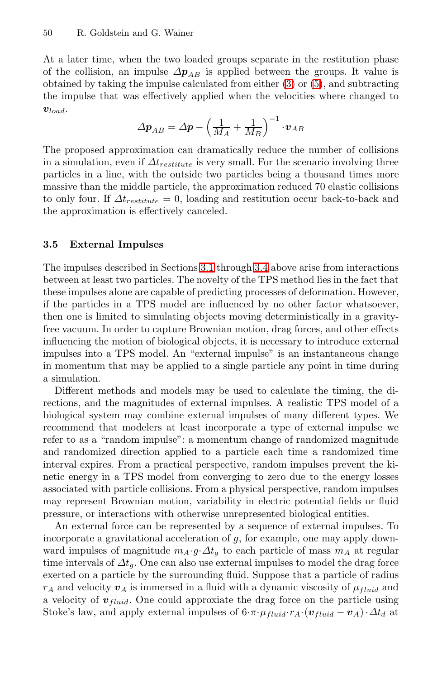At a later time, when the two loaded groups separate in the restitution phase of the collision, an impulse  $\Delta p_{AB}$  is applied between the groups. It value is obtained by taking the impulse calculated from either (3) or (5), and subtracting the impulse that was effectively applied when the velocities where changed to *v*load.

$$
\Delta \mathbf{p}_{AB} = \Delta \mathbf{p} - \left(\frac{1}{M_A} + \frac{1}{M_B}\right)^{-1} \cdot \mathbf{v}_{AB}
$$

The proposed approximation can dramatically reduce the number of collisions in a simulation, even if  $\Delta t_{restrictive}$  is very small. For the scenario involving three particles in a li[ne, w](#page-4-1)ith the [out](#page-8-1)side two particles being a thousand times more massive than the middle particle, the approximation reduced 70 elastic collisions to only four. If  $\Delta t_{resititute} = 0$ , loading and restitution occur back-to-back and the approximation is effectively canceled.

#### **3.5 External Impulses**

The impulses described in Sections 3.1 through 3.4 above arise from interactions between at least two particles. The novelty of the TPS method lies in the fact that these impulses alone are capable of predicting processes of deformation. However, if the particles in a TPS model are influenced by no other factor whatsoever, then one is limited to simulating objects moving deterministically in a gravityfree vacuum. In order to capture Brownian motion, drag forces, and other effects influencing the motion of biological objects, it is necessary to introduce external impulses into a TPS model. An "external impulse" is an instantaneous change in momentum that may be applied to a single particle any point in time during a simulation.

Different methods and models may be used to calculate the timing, the directions, and the magnitudes of external impulses. A realistic TPS model of a biological system may combine external impulses of many different types. We recommend that modelers at least incorporate a type of external impulse we refer to as a "random impulse": a momentum change of randomized magnitude and randomized direction applied to a particle each time a randomized time interval expires. From a practical perspective, random impulses prevent the kinetic energy in a TPS model from converging to zero due to the energy losses associated with particle collisions. From a physical perspective, random impulses may represent Brownian motion, variability in electric potential fields or fluid pressure, or interactions with otherwise unrepresented biological entities.

An external force can be represented by a sequence of external impulses. To incorporate a gravitational acceleration of  $g$ , for example, one may apply downward impulses of magnitude  $m_A \cdot g \cdot \Delta t_q$  to each particle of mass  $m_A$  at regular time intervals of  $\Delta t_q$ . One can also use external impulses to model the drag force exerted on a particle by the surrounding fluid. Suppose that a particle of radius  $r_A$  and velocity  $v_A$  is immersed in a fluid with a dynamic viscosity of  $\mu_{fluid}$  and a velocity of  $v_{fluid}$ . One could approxiate the drag force on the particle using Stoke's law, and apply external impulses of  $6·π·μ_{fluid}·r_A·(\mathbf{v}_{fluid} - \mathbf{v}_A)·\Delta t_d$  at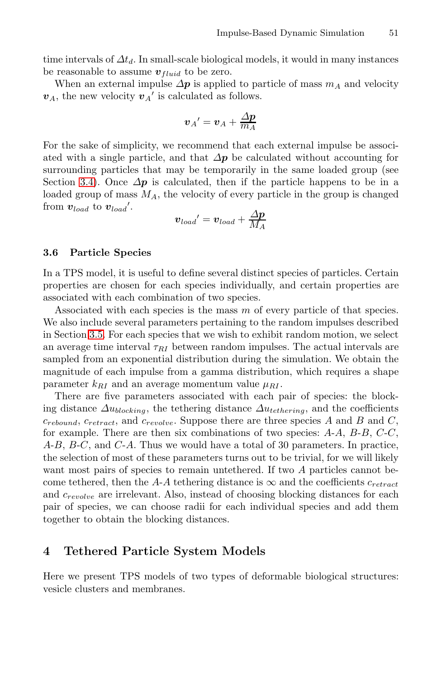time intervals of  $\Delta t_d$ . In small-scale biological models, it would in many instances be reasonable to assume  $v_{fluid}$  to be zero.

When an external impulse  $\Delta p$  is applied to particle of mass  $m_A$  and velocity  $v_A$ , the new velocity  $v_A'$  is calculated as follows.

$$
\boldsymbol{v}_A{}'=\boldsymbol{v}_A+\frac{\Delta p}{m_A}
$$

For the sake of simplicity, we recommend that each external impulse be associated with a single particle, and that  $\Delta p$  be calculated without accounting for surrounding particles that may be temporarily in the same loaded group (see Section 3.4). Once  $\Delta p$  is calculated, then if the particle happens to be in a loaded group of mass  $M_A$ , the velocity of every particle in the group is changed from  $v_{load}$  to  $v_{load}$ '.

$$
\boldsymbol{v}_{load}' = \boldsymbol{v}_{load} + \frac{\Delta p}{M_A}
$$

#### **3.6 Particle Species**

In a TPS model, it is useful to define several distinct species of particles. Certain properties are chosen for each species individually, and certain properties are associated with each combination of two species.

Associated with each species is the mass  $m$  of every particle of that species. We also include several parameters pertaining to the random impulses described in Section 3.5. For each species that we wish to exhibit random motion, we select an average time interval  $\tau_{RI}$  between random impulses. The actual intervals are sampled from an exponential distribution during the simulation. We obtain the magnitude of each impulse from a gamma distribution, which requires a shape parameter  $k_{RI}$  and an average momentum value  $\mu_{RI}$ .

<span id="page-12-0"></span>There are five parameters associated with each pair of species: the blocking distance  $\Delta u_{blocking}$ , the tethering distance  $\Delta u_{tethering}$ , and the coefficients  $c_{rebound}$ ,  $c_{retract}$ , and  $c_{revolve}$ . Suppose there are three species A and B and C, for example. There are then six combinations of two species:  $A-A$ ,  $B-B$ ,  $C-C$ , A-B, B-C, and C-A. Thus we would have a total of 30 parameters. In practice, the selection of most of these parameters turns out to be trivial, for we will likely want most pairs of species to remain untethered. If two A particles cannot become tethered, then the A-A tethering distance is  $\infty$  and the coefficients  $c_{retract}$ and  $c_{revolve}$  are irrelevant. Also, instead of choosing blocking distances for each pair of species, we can choose radii for each individual species and add them together to obtain the blocking distances.

## **4 Tethered Particle System Models**

Here we present TPS models of two types of deformable biological structures: vesicle clusters and membranes.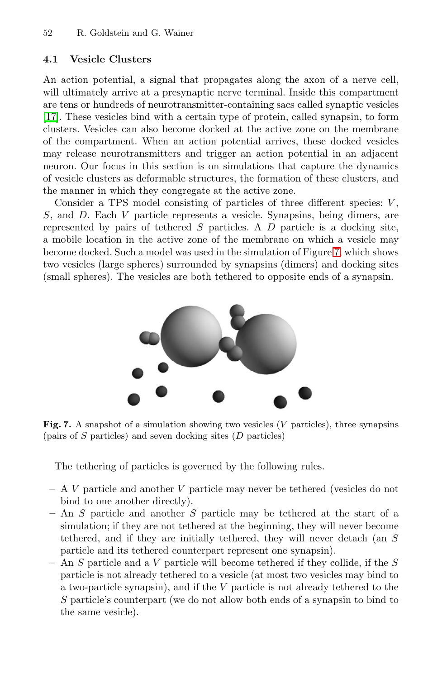### **4.1 Vesicle Clusters**

An action potential, a signal that propagates along the axon of a nerve cell, will ultimately arrive at a presynaptic nerve terminal. Inside this compartment are tens or hundreds of neurotransmitter-containing sacs called synaptic vesicles [17]. These vesicles bind with a certain type of protein, called synapsin, to form clusters. Vesicles can also become docked at the active zone on the membrane of the compartment. When an action potential arrives, these docked vesicles may release neurotransmitters and trigger a[n](#page-13-0) action potential in an adjacent neuron. Our focus in this section is on simulations that capture the dynamics of vesicle clusters as deformable structures, the formation of these clusters, and the manner in which they congregate at the active zone.

<span id="page-13-0"></span>Consider a TPS model consisting of particles of three different species:  $V$ , S, and D. Each V particle represents a vesicle. Synapsins, being dimers, are represented by pairs of tethered  $S$  particles. A  $D$  particle is a docking site, a mobile location in the active zone of the membrane on which a vesicle may become docked. Such a model was used in the simulation of Figure 7, which shows two vesicles (large spheres) surrounded by synapsins (dimers) and docking sites (small spheres). The vesicles are both tethered to opposite ends of a synapsin.



**Fig. 7.** A snapshot of a simulation showing two vesicles (V particles), three synapsins (pairs of S particles) and seven docking sites (D particles)

The tethering of particles is governed by the following rules.

- **–** <sup>A</sup> V particle and another V particle may never be tethered (vesicles do not bind to one another directly).
- **–** An S particle and another S particle may be tethered at the start of a simulation; if they are not tethered at the beginning, they will never become tethered, and if they are initially tethered, they will never detach (an S particle and its tethered counterpart represent one synapsin).
- **–** An S particle and a V particle will become tethered if they collide, if the S particle is not already tethered to a vesicle (at most two vesicles may bind to a two-particle synapsin), and if the V particle is not already tethered to the S particle's counterpart (we do not allow both ends of a synapsin to bind to the same vesicle).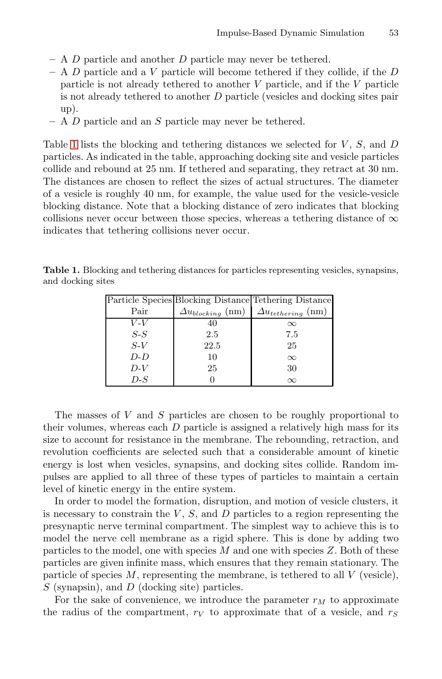- **–** <sup>A</sup> D particle and another D particle may never be tethered.
- **–** <sup>A</sup> D particle and a V particle will become tethered if they collide, if the D particle is not already tethered to another V particle, and if the V particle is not already tethered to another D particle (vesicles and docking sites pair up).
- **–** <sup>A</sup> D particle and an S particle may never be tethered.

Table 1 lists the blocking and tethering distances we selected for  $V, S$ , and  $D$ particles. As indicated in the table, approaching docking site and vesicle particles collide and rebound at 25 nm. If tethered and separating, they retract at 30 nm. The distances are chosen to reflect the sizes of actual structures. The diameter of a vesicle is roughly 40 nm, for example, the value used for the vesicle-vesicle blocking distance. Note that a blocking distance of zero indicates that blocking collisions never occur between those species, whereas a tethering distance of  $\infty$ indicates that tethering collisions never occur.

**Table 1.** Blocking and tethering distances for particles representing vesicles, synapsins, and docking sites

|              |                            | Particle Species Blocking Distance Tethering Distance |
|--------------|----------------------------|-------------------------------------------------------|
| Pair         | $\Delta u_{blocking}$ (nm) | $\Delta u_{tethering}$ (nm)                           |
| V-V          | 40                         | $\infty$                                              |
| $S-S$        | 2.5                        | 7.5                                                   |
| $S-V$        | 22.5                       | 25                                                    |
| $D-D$        | 10                         | $\infty$                                              |
| $D\text{-}V$ | 25                         | 30                                                    |
| $D-S$        |                            | $\infty$                                              |

The masses of  $V$  and  $S$  particles are chosen to be roughly proportional to their volumes, whereas each  $D$  particle is assigned a relatively high mass for its size to account for resistance in the membrane. The rebounding, retraction, and revolution coefficients are selected such that a considerable amount of kinetic energy is lost when vesicles, synapsins, and docking sites collide. Random impulses are applied to all three of these types of particles to maintain a certain level of kinetic energy in the entire system.

In order to model the formation, disruption, and motion of vesicle clusters, it is necessary to constrain the  $V, S$ , and  $D$  particles to a region representing the presynaptic nerve terminal compartment. The simplest way to achieve this is to model the nerve cell membrane as a rigid sphere. This is done by adding two particles to the model, one with species  $M$  and one with species  $Z$ . Both of these particles are given infinite mass, which ensures that they remain stationary. The particle of species  $M$ , representing the membrane, is tethered to all  $V$  (vesicle),  $S$  (synapsin), and  $D$  (docking site) particles.

For the sake of convenience, we introduce the parameter  $r_M$  to approximate the radius of the compartment,  $r_V$  to approximate that of a vesicle, and  $r_S$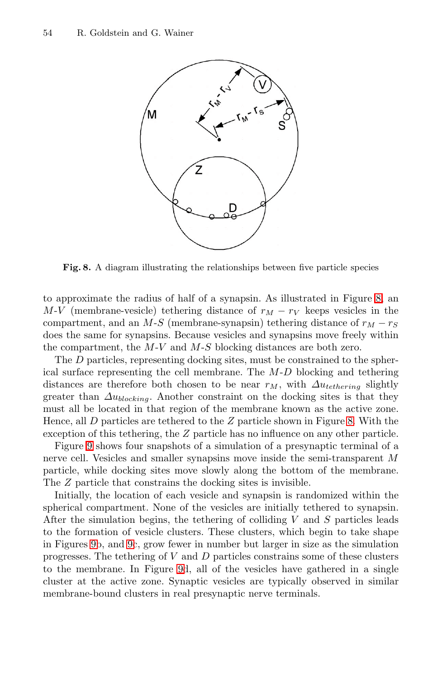<span id="page-15-0"></span>

**Fig. 8.** A diagram illustrating the relationships between five particle species

to approximate the radius of half of a synapsin. As illustrated in Figure 8, an M-V (membrane-vesicle) tethering distance of  $r_M - r_V$  keeps vesicles in the compartment, and an  $M-S$  (membrane-synapsin[\) t](#page-15-0)ethering distance of  $r_M - r_S$ does the same for synapsins. Because vesicles and synapsins move freely within the compartment, the M-V and M-S blocking distances are both zero.

The  $D$  particles, representing docking sites, must be constrained to the spherical surface representing the cell membrane. The M-D blocking and tethering distances are therefore both chosen to be near  $r_M$ , with  $\Delta u_{tethering}$  slightly greater than  $\Delta u_{blocking}$ . Another constraint on the docking sites is that they must all be located in that region of the membrane known as the active zone. Hence, all  $D$  particles are tethered to the  $Z$  particle shown in Figure 8. With the exception of this tethering, the Z particle has no influence on any other particle.

Figure 9 shows four snapshots of a simulation of a presynaptic terminal of a [ne](#page-16-0)rve cell. Vesicles and smaller synapsins move inside the semi-transparent M particle, w[hi](#page-16-0)le docking sites move slowly along the bottom of the membrane. The Z particle that constrains the docking sites is invisible.

Initially, the location of each vesicle and synapsin is randomized within the spherical compartment. None of the vesicles are initially tethered to synapsin. After the simulation begins, the tethering of colliding  $V$  and  $S$  particles leads to the formation of vesicle clusters. These clusters, which begin to take shape in Figures 9b, and 9c, grow fewer in number but larger in size as the simulation progresses. The tethering of  $V$  and  $D$  particles constrains some of these clusters to the membrane. In Figure 9d, all of the vesicles have gathered in a single cluster at the active zone. Synaptic vesicles are typically observed in similar membrane-bound clusters in real presynaptic nerve terminals.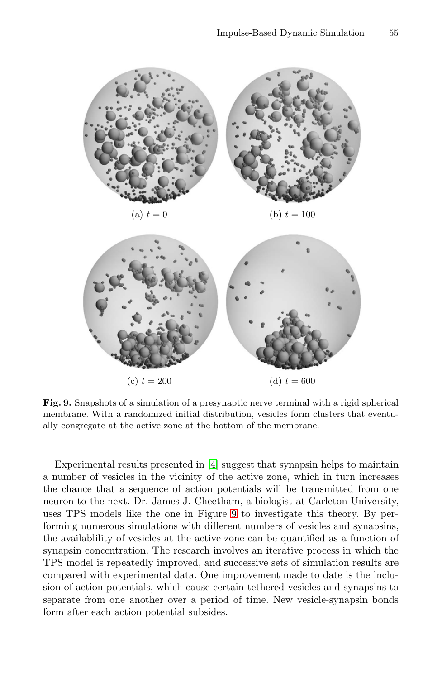<span id="page-16-0"></span>

**Fig. 9.** Snapshots of a simulation of a presynaptic nerve terminal with a rigid spherical membrane. With a rand[om](#page-16-0)ized initial distribution, vesicles form clusters that eventually congregate at the active zone at the bottom of the membrane.

Experimental results presented in [4] suggest that synapsin helps to maintain a number of vesicles in the vicinity of the active zone, which in turn increases the chance that a sequence of action potentials will be transmitted from one neuron to the next. Dr. James J. Cheetham, a biologist at Carleton University, uses TPS models like the one in Figure 9 to investigate this theory. By performing numerous simulations with different numbers of vesicles and synapsins, the availablility of vesicles at the active zone can be quantified as a function of synapsin concentration. The research involves an iterative process in which the TPS model is repeatedly improved, and successive sets of simulation results are compared with experimental data. One improvement made to date is the inclusion of action potentials, which cause certain tethered vesicles and synapsins to separate from one another over a period of time. New vesicle-synapsin bonds form after each action potential subsides.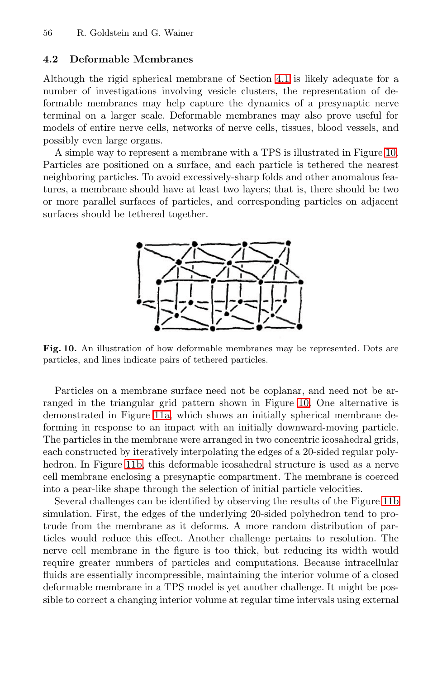#### <span id="page-17-0"></span>**4.2 Deformable Membranes**

Although the rigid spherical membrane of Section 4.1 is likely adequate for a number of investigations involving vesicle clusters, the representation of deformable membranes may help capture the dynamics of a presynaptic nerve terminal on a larger scale. Deformable membranes may also prove useful for models of entire nerve cells, networks of nerve cells, tissues, blood vessels, and possibly even large organs.

A simple way to represent a membrane with a TPS is illustrated in Figure 10. Particles are positioned on a surface, and each particle is tethered the nearest neighboring particles. To avoid excessively-sharp folds and other anomalous features, a membrane should have at least two layers; that is, there should be two or more parallel surfaces of particles, and corresponding particles on adjacent surfaces should be tethered together.



**Fig. 10.** An illustration of how deformable membranes may be represented. Dots are particles, and lines indicate pairs of tethered particles.

Particles on a membrane surface need not be coplanar, and need not be arranged in the triangular grid pattern shown in Figure [10.](#page-18-0) One alternative is demonstrated in Figure 11a, which shows an initially spherical membrane deforming in response to an impact with an initially downward-moving particle. The particles in the membrane were arranged in two concentric icosahedral grids, each constructed by iteratively interpolating the edges of a 20-sided regular polyhedron. In Figure 11b, this deformable icosahedral structure is used as a nerve cell membrane enclosing a presynaptic compartment. The membrane is coerced into a pear-like shape through the selection of initial particle velocities.

Several challenges can be identified by observing the results of the Figure 11b simulation. First, the edges of the underlying 20-sided polyhedron tend to protrude from the membrane as it deforms. A more random distribution of particles would reduce this effect. Another challenge pertains to resolution. The nerve cell membrane in the figure is too thick, but reducing its width would require greater numbers of particles and computations. Because intracellular fluids are essentially incompressible, maintaining the interior volume of a closed deformable membrane in a TPS model is yet another challenge. It might be possible to correct a changing interior volume at regular time intervals using external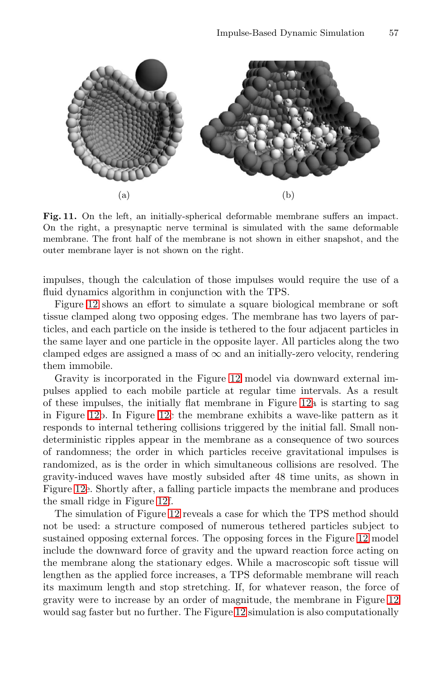<span id="page-18-0"></span>

Fig. 11. On the left, an initially-spherical deformable membrane suffers an impact. On the right, a presynaptic nerve terminal is simulated with the same deformable membrane. The front half of the membrane is not shown in either snapshot, and the outer membrane layer is not shown on the right.

impulses, though the [calc](#page-19-1)ulation of those impulses would require the use of a fluid dynamics algorithm in conjunction with the TPS.

Figure 12 shows an effort to simul[ate](#page-19-1) a square biological membrane or soft tissue [clam](#page-19-1)ped along two opposing edges. The membrane has two layers of particles, and each particle on the inside is tethered to the four adjacent particles in the same layer and one particle in the opposite layer. All particles along the two clamped edges are assigned a mass of  $\infty$  and an initially-zero velocity, rendering them immobile.

Gravity is incorporated in the Figure 12 model via downward external impulses applied to each mobile particle at regular time intervals. As a result of the[se i](#page-19-1)mpulses, the initially flat membrane in Figure 12a is starting to sag in Figur[e 12](#page-19-1)b. In Figure 12c the membrane exhibits a wave-like pattern as it responds to internal tethering collisions triggered by the initial fall. Small nondeterministic ripples appear in the membrane as [a co](#page-19-1)nsequence of two sources of randomness; the order in which particles receive gravitational impulses is randomized, as is the order in which simultaneous collisions are resolved. The gravity-induced waves have mostly subsided after 48 time units, as shown in Figure 12e. Shortly after, a falling particle impacts the membrane and produces the small ridge in Figure 12f.

The simulation of Fi[gure](#page-19-1) 12 reveals a case for which th[e](#page-19-1) [T](#page-19-1)PS method should not be used: a structure composed of numerous tethered particles subject to sustained opposing external forces. The opposing forces in the Figure 12 model include the downward force of gravity and the upward reaction force acting on the membrane along the stationary edges. While a macroscopic soft tissue will lengthen as the applied force increases, a TPS deformable membrane will reach its maximum length and stop stretching. If, for whatever reason, the force of gravity were to increase by an order of magnitude, the membrane in Figure 12 would sag faster but no further. The Figure 12 simulation is also computationally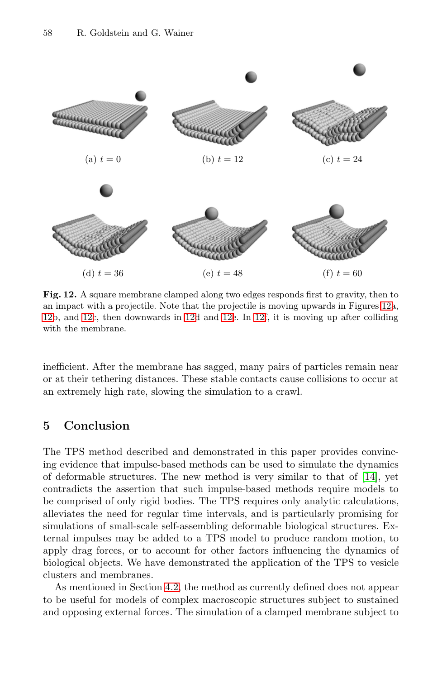<span id="page-19-1"></span>

<span id="page-19-0"></span>**Fig. 12.** A square membrane clamped along two edges responds first to gravity, then to an impact with a projectile. Note that the projectile is moving upwards in Figures 12a, 12b, and 12c, then downwards in 12d and 12e. In 12f, it is moving up after colliding with the membrane.

inefficient. After the membrane has sagged, many pairs of particles remain near or at their tethering distances. These stable contacts [cau](#page-21-4)se collisions to occur at an extremely high rate, slowing the simulation to a crawl.

## **5 Conclusion**

The TPS method described and demonstrated in this paper provides convincing evidence that impulse-based methods can be used to simulate the dynamics of deformable structures. The new method is very similar to that of [14], yet contrad[icts](#page-17-0) the assertion that such impulse-based methods require models to be comprised of only rigid bodies. The TPS requires only analytic calculations, alleviates the need for regular time intervals, and is particularly promising for simulations of small-scale self-assembling deformable biological structures. External impulses may be added to a TPS model to produce random motion, to apply drag forces, or to account for other factors influencing the dynamics of biological objects. We have demonstrated the application of the TPS to vesicle clusters and membranes.

As mentioned in Section 4.2, the method as currently defined does not appear to be useful for models of complex macroscopic structures subject to sustained and opposing external forces. The simulation of a clamped membrane subject to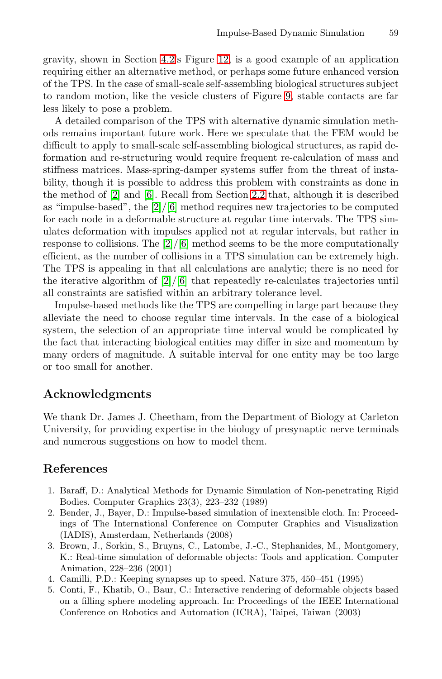gravity, shown in Section 4.2's Figure 12, is a good example of an application requiring either an alternative method, or perhaps some future enhanced version of the TPS. In the case of small-scale self-assembling biological structures subject to r[an](#page-21-9)dom motion, like the [ves](#page-2-0)icle clusters of Figure 9, stable contacts are far less li[ke](#page-20-2)l[y t](#page-21-9)o pose a problem.

A detailed comparison of the TPS with alternative dynamic simulation methods remains important future work. Here we speculate that the FEM would be difficult [to](#page-20-2) [ap](#page-21-9)ply to small-scale self-assembling biological structures, as rapid deformation and re-structuring would require frequent re-calculation of mass and stiffness matrices. Mass-spring-damper systems suffer from the threat of instability, t[ho](#page-20-2)u[gh](#page-21-9) it is possible to address this problem with constraints as done in the method of [2] and [6]. Recall from Section 2.2 that, although it is described as "impulse-based", the [2]/[6] method requires new trajectories to be computed for each node in a deformable structure at regular time intervals. The TPS simulates deformation with impulses applied not at regular intervals, but rather in response to collisions. The [2]/[6] method seems to be the more computationally efficient, as the number of collisions in a TPS simulation can be extremely high. The TPS is appealing in that all calculations are analytic; there is no need for the iterative algorithm of [2]/[6] that repeatedly re-calculates trajectories until all constraints are satisfied within an arbitrary tolerance level.

Impulse-based methods like the TPS are compelling in large part because they alleviate the need to choose regular time intervals. In the case of a biological system, the selection of an appropriate time interval would be complicated by the fact that interacting biological entities may differ in size and momentum by many orders of magnitude. A suitable interval for one entity may be too large or too small for another.

## <span id="page-20-0"></span>**Acknowledgments**

<span id="page-20-2"></span>We thank Dr. James J. Cheetham, from the Department of Biology at Carleton University, for providing expertise in the biology of presynaptic nerve terminals and numerous suggestions on how to model them.

## <span id="page-20-1"></span>**References**

- 1. Baraff, D.: Analytical Methods for Dynamic Simulation of Non-penetrating Rigid Bodies. Computer Graphics 23(3), 223–232 (1989)
- 2. Bender, J., Bayer, D.: Impulse-based simulation of inextensible cloth. In: Proceedings of The International Conference on Computer Graphics and Visualization (IADIS), Amsterdam, Netherlands (2008)
- 3. Brown, J., Sorkin, S., Bruyns, C., Latombe, J.-C., Stephanides, M., Montgomery, K.: Real-time simulation of deformable objects: Tools and application. Computer Animation, 228–236 (2001)
- 4. Camilli, P.D.: Keeping synapses up to speed. Nature 375, 450–451 (1995)
- 5. Conti, F., Khatib, O., Baur, C.: Interactive rendering of deformable objects based on a filling sphere modeling approach. In: Proceedings of the IEEE International Conference on Robotics and Automation (ICRA), Taipei, Taiwan (2003)